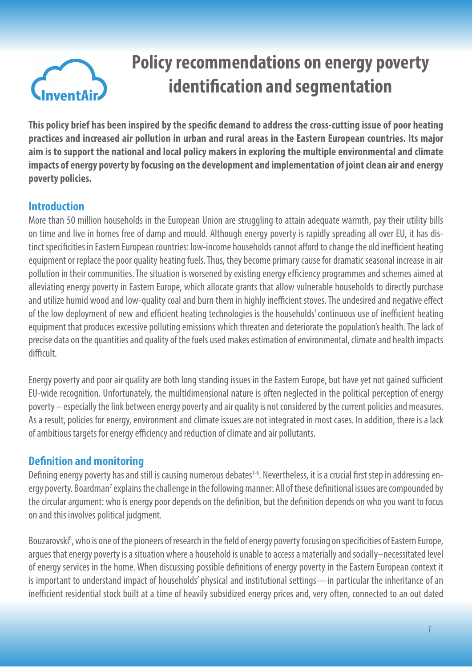

# **Policy recommendations on energy poverty identification and segmentation**

**This policy brief has been inspired by the specific demand to address the cross-cutting issue of poor heating practices and increased air pollution in urban and rural areas in the Eastern European countries. Its major aim is to support the national and local policy makers in exploring the multiple environmental and climate impacts of energy poverty by focusing on the development and implementation of joint clean air and energy poverty policies.** 

#### **Introduction**

More than 50 million households in the European Union are struggling to attain adequate warmth, pay their utility bills on time and live in homes free of damp and mould. Although energy poverty is rapidly spreading all over EU, it has distinct specificities in Eastern European countries: low-income households cannot afford to change the old inefficient heating equipment or replace the poor quality heating fuels. Thus, they become primary cause for dramatic seasonal increase in air pollution in their communities. The situation is worsened by existing energy efficiency programmes and schemes aimed at alleviating energy poverty in Eastern Europe, which allocate grants that allow vulnerable households to directly purchase and utilize humid wood and low-quality coal and burn them in highly inefficient stoves. The undesired and negative effect of the low deployment of new and efficient heating technologies is the households' continuous use of inefficient heating equipment that produces excessive polluting emissions which threaten and deteriorate the population's health. The lack of precise data on the quantities and quality of the fuels used makes estimation of environmental, climate and health impacts difficult.

Energy poverty and poor air quality are both long standing issues in the Eastern Europe, but have yet not gained sufficient EU-wide recognition. Unfortunately, the multidimensional nature is often neglected in the political perception of energy poverty – especially the link between energy poverty and air quality is not considered by the current policies and measures. As a result, policies for energy, environment and climate issues are not integrated in most cases. In addition, there is a lack of ambitious targets for energy efficiency and reduction of climate and air pollutants.

#### **Definition and monitoring**

Defining energy poverty has and still is causing numerous debates<sup>1-6</sup>. Nevertheless, it is a crucial first step in addressing energy poverty. Boardman<sup>7</sup> explains the challenge in the following manner: All of these definitional issues are compounded by the circular argument: who is energy poor depends on the definition, but the definition depends on who you want to focus on and this involves political judgment.

Bouzarovski<sup>8</sup>, who is one of the pioneers of research in the field of energy poverty focusing on specificities of Eastern Europe, argues that energy poverty is a situation where a household is unable to access a materially and socially–necessitated level of energy services in the home. When discussing possible definitions of energy poverty in the Eastern European context it is important to understand impact of households' physical and institutional settings—in particular the inheritance of an inefficient residential stock built at a time of heavily subsidized energy prices and, very often, connected to an out dated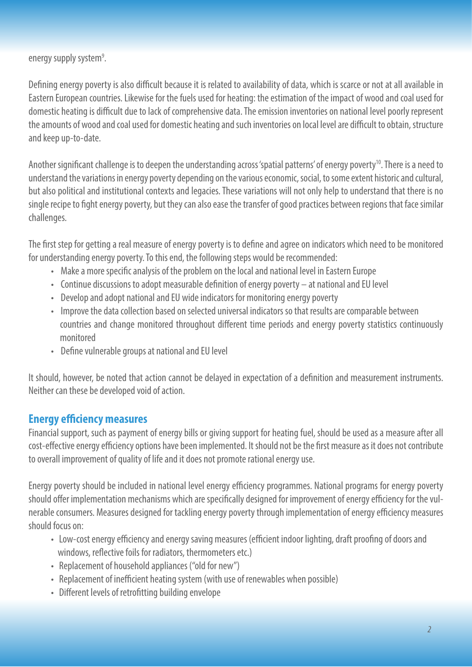energy supply system<sup>9</sup>. .

Defining energy poverty is also difficult because it is related to availability of data, which is scarce or not at all available in Eastern European countries. Likewise for the fuels used for heating: the estimation of the impact of wood and coal used for domestic heating is difficult due to lack of comprehensive data. The emission inventories on national level poorly represent the amounts of wood and coal used for domestic heating and such inventories on local level are difficult to obtain, structure and keep up-to-date.

Another significant challenge is to deepen the understanding across 'spatial patterns' of energy poverty<sup>10</sup>. There is a need to understand the variations in energy poverty depending on the various economic, social, to some extent historic and cultural, but also political and institutional contexts and legacies. These variations will not only help to understand that there is no single recipe to fight energy poverty, but they can also ease the transfer of good practices between regions that face similar challenges.

The first step for getting a real measure of energy poverty is to define and agree on indicators which need to be monitored for understanding energy poverty. To this end, the following steps would be recommended:

- Make a more specific analysis of the problem on the local and national level in Eastern Europe
- Continue discussions to adopt measurable definition of energy poverty at national and EU level
- Develop and adopt national and EU wide indicators for monitoring energy poverty
- Improve the data collection based on selected universal indicators so that results are comparable between countries and change monitored throughout different time periods and energy poverty statistics continuously monitored
- Define vulnerable groups at national and EU level

It should, however, be noted that action cannot be delayed in expectation of a definition and measurement instruments. Neither can these be developed void of action.

# **Energy efficiency measures**

Financial support, such as payment of energy bills or giving support for heating fuel, should be used as a measure after all cost-effective energy efficiency options have been implemented. It should not be the first measure as it does not contribute to overall improvement of quality of life and it does not promote rational energy use.

Energy poverty should be included in national level energy efficiency programmes. National programs for energy poverty should offer implementation mechanisms which are specifically designed for improvement of energy efficiency for the vulnerable consumers. Measures designed for tackling energy poverty through implementation of energy efficiency measures should focus on:

- Low-cost energy efficiency and energy saving measures (efficient indoor lighting, draft proofing of doors and windows, reflective foils for radiators, thermometers etc.)
- Replacement of household appliances ("old for new")
- Replacement of inefficient heating system (with use of renewables when possible)
- Different levels of retrofitting building envelope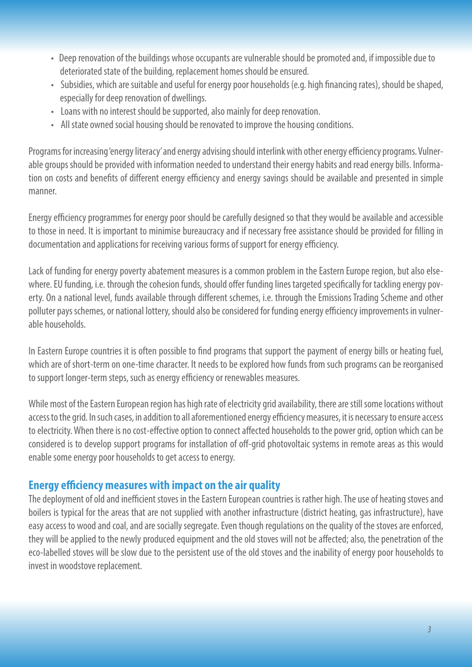- Deep renovation of the buildings whose occupants are vulnerable should be promoted and, if impossible due to deteriorated state of the building, replacement homes should be ensured.
- Subsidies, which are suitable and useful for energy poor households (e.g. high financing rates), should be shaped, especially for deep renovation of dwellings.
- Loans with no interest should be supported, also mainly for deep renovation.
- All state owned social housing should be renovated to improve the housing conditions.

Programs for increasing 'energy literacy' and energy advising should interlink with other energy efficiency programs. Vulnerable groups should be provided with information needed to understand their energy habits and read energy bills. Information on costs and benefits of different energy efficiency and energy savings should be available and presented in simple manner.

Energy efficiency programmes for energy poor should be carefully designed so that they would be available and accessible to those in need. It is important to minimise bureaucracy and if necessary free assistance should be provided for filling in documentation and applications for receiving various forms of support for energy efficiency.

Lack of funding for energy poverty abatement measures is a common problem in the Eastern Europe region, but also elsewhere. EU funding, i.e. through the cohesion funds, should offer funding lines targeted specifically for tackling energy poverty. On a national level, funds available through different schemes, i.e. through the Emissions Trading Scheme and other polluter pays schemes, or national lottery, should also be considered for funding energy efficiency improvements in vulnerable households.

In Eastern Europe countries it is often possible to find programs that support the payment of energy bills or heating fuel, which are of short-term on one-time character. It needs to be explored how funds from such programs can be reorganised to support longer-term steps, such as energy efficiency or renewables measures.

While most of the Eastern European region has high rate of electricity grid availability, there are still some locations without access to the grid. In such cases, in addition to all aforementioned energy efficiency measures, it is necessary to ensure access to electricity. When there is no cost-effective option to connect affected households to the power grid, option which can be considered is to develop support programs for installation of off-grid photovoltaic systems in remote areas as this would enable some energy poor households to get access to energy.

#### **Energy efficiency measures with impact on the air quality**

The deployment of old and inefficient stoves in the Eastern European countries is rather high. The use of heating stoves and boilers is typical for the areas that are not supplied with another infrastructure (district heating, gas infrastructure), have easy access to wood and coal, and are socially segregate. Even though regulations on the quality of the stoves are enforced, they will be applied to the newly produced equipment and the old stoves will not be affected; also, the penetration of the eco-labelled stoves will be slow due to the persistent use of the old stoves and the inability of energy poor households to invest in woodstove replacement.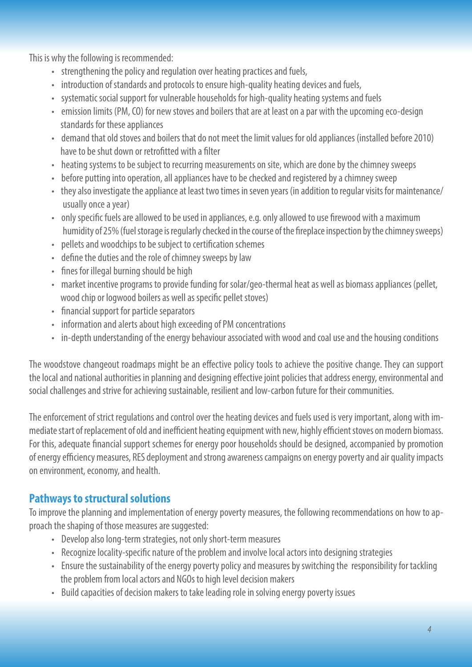This is why the following is recommended:

- strengthening the policy and regulation over heating practices and fuels,
- introduction of standards and protocols to ensure high-quality heating devices and fuels,
- systematic social support for vulnerable households for high-quality heating systems and fuels
- emission limits (PM, CO) for new stoves and boilers that are at least on a par with the upcoming eco-design standards for these appliances
- demand that old stoves and boilers that do not meet the limit values for old appliances (installed before 2010) have to be shut down or retrofitted with a filter
- heating systems to be subject to recurring measurements on site, which are done by the chimney sweeps
- before putting into operation, all appliances have to be checked and registered by a chimney sweep
- they also investigate the appliance at least two times in seven years (in addition to regular visits for maintenance/ usually once a year)
- only specific fuels are allowed to be used in appliances, e.g. only allowed to use firewood with a maximum humidity of 25% (fuel storage is regularly checked in the course of the fireplace inspection by the chimney sweeps)
- pellets and woodchips to be subject to certification schemes
- define the duties and the role of chimney sweeps by law
- fines for illegal burning should be high
- market incentive programs to provide funding for solar/geo-thermal heat as well as biomass appliances (pellet, wood chip or logwood boilers as well as specific pellet stoves)
- financial support for particle separators
- information and alerts about high exceeding of PM concentrations
- in-depth understanding of the energy behaviour associated with wood and coal use and the housing conditions

The woodstove changeout roadmaps might be an effective policy tools to achieve the positive change. They can support the local and national authorities in planning and designing effective joint policies that address energy, environmental and social challenges and strive for achieving sustainable, resilient and low-carbon future for their communities.

The enforcement of strict regulations and control over the heating devices and fuels used is very important, along with immediate start of replacement of old and inefficient heating equipment with new, highly efficient stoves on modern biomass. For this, adequate financial support schemes for energy poor households should be designed, accompanied by promotion of energy efficiency measures, RES deployment and strong awareness campaigns on energy poverty and air quality impacts on environment, economy, and health.

# **Pathways to structural solutions**

To improve the planning and implementation of energy poverty measures, the following recommendations on how to approach the shaping of those measures are suggested:

- Develop also long-term strategies, not only short-term measures
- Recognize locality-specific nature of the problem and involve local actors into designing strategies
- Ensure the sustainability of the energy poverty policy and measures by switching the responsibility for tackling the problem from local actors and NGOs to high level decision makers
- Build capacities of decision makers to take leading role in solving energy poverty issues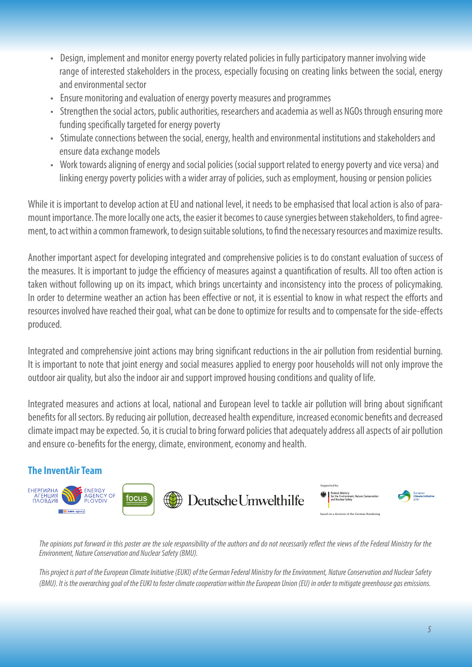- Design, implement and monitor energy poverty related policies in fully participatory manner involving wide range of interested stakeholders in the process, especially focusing on creating links between the social, energy and environmental sector
- Ensure monitoring and evaluation of energy poverty measures and programmes
- Strengthen the social actors, public authorities, researchers and academia as well as NGOs through ensuring more funding specifically targeted for energy poverty
- Stimulate connections between the social, energy, health and environmental institutions and stakeholders and ensure data exchange models
- Work towards aligning of energy and social policies (social support related to energy poverty and vice versa) and linking energy poverty policies with a wider array of policies, such as employment, housing or pension policies

While it is important to develop action at EU and national level, it needs to be emphasised that local action is also of paramount importance. The more locally one acts, the easier it becomes to cause synergies between stakeholders, to find agreement, to act within a common framework, to design suitable solutions, to find the necessary resources and maximize results.

Another important aspect for developing integrated and comprehensive policies is to do constant evaluation of success of the measures. It is important to judge the efficiency of measures against a quantification of results. All too often action is taken without following up on its impact, which brings uncertainty and inconsistency into the process of policymaking. In order to determine weather an action has been effective or not, it is essential to know in what respect the efforts and resources involved have reached their goal, what can be done to optimize for results and to compensate for the side-effects produced.

Integrated and comprehensive joint actions may bring significant reductions in the air pollution from residential burning. It is important to note that joint energy and social measures applied to energy poor households will not only improve the outdoor air quality, but also the indoor air and support improved housing conditions and quality of life.

Integrated measures and actions at local, national and European level to tackle air pollution will bring about significant benefits for all sectors. By reducing air pollution, decreased health expenditure, increased economic benefits and decreased climate impact may be expected. So, it is crucial to bring forward policies that adequately address all aspects of air pollution and ensure co-benefits for the energy, climate, environment, economy and health.

### **The InventAir Team**



The opinions put forward in this poster are the sole responsibility of the authors and do not necessarily reflect the views of the Federal Ministry for the *Environment, Nature Conservation and Nuclear Safety (BMU).*

*This project is part of the European Climate Initiative (EUKI) of the German Federal Ministry for the Environment, Nature Conservation and Nuclear Safety (BMU). It is the overarching goal of the EUKI to foster climate cooperation within the European Union (EU) in order to mitigate greenhouse gas emissions.*